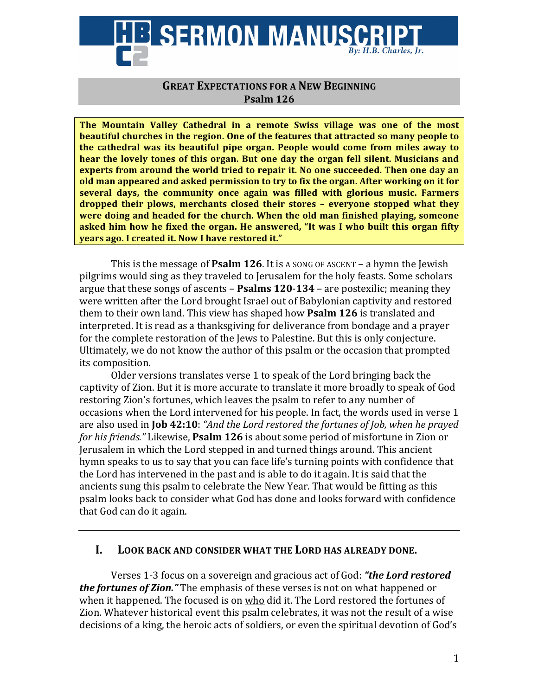

# **GREAT EXPECTATIONS FOR A NEW BEGINNING Psalm 126**

**The Mountain Valley Cathedral in a remote Swiss village was one of the most beautiful churches in the region. One of the features that attracted so many people to the cathedral was its beautiful pipe organ. People would come from miles away to hear the lovely tones of this organ. But one day the organ fell silent. Musicians and experts from around the world tried to repair it. No one succeeded. Then one day an old man appeared and asked permission to try to fix the organ. After working on it for several days, the community once again was filled with glorious music. Farmers dropped their plows, merchants closed their stores – everyone stopped what they were doing and headed for the church. When the old man finished playing, someone** asked him how he fixed the organ. He answered, "It was I who built this organ fifty **years ago.** I created it. Now I have restored it."

This is the message of **Psalm 126**. It is a song of ascent – a hymn the Jewish pilgrims would sing as they traveled to Jerusalem for the holy feasts. Some scholars argue that these songs of ascents – **Psalms 120-134** – are postexilic; meaning they were written after the Lord brought Israel out of Babylonian captivity and restored them to their own land. This view has shaped how **Psalm 126** is translated and interpreted. It is read as a thanksgiving for deliverance from bondage and a prayer for the complete restoration of the Jews to Palestine. But this is only conjecture. Ultimately, we do not know the author of this psalm or the occasion that prompted its composition.

Older versions translates verse 1 to speak of the Lord bringing back the captivity of Zion. But it is more accurate to translate it more broadly to speak of God restoring Zion's fortunes, which leaves the psalm to refer to any number of occasions when the Lord intervened for his people. In fact, the words used in verse 1 are also used in **Job 42:10**: "And the Lord restored the fortunes of Job, when he prayed *for his friends.*" Likewise, **Psalm 126** is about some period of misfortune in Zion or Jerusalem in which the Lord stepped in and turned things around. This ancient hymn speaks to us to say that you can face life's turning points with confidence that the Lord has intervened in the past and is able to do it again. It is said that the ancients sung this psalm to celebrate the New Year. That would be fitting as this psalm looks back to consider what God has done and looks forward with confidence that God can do it again.

# **I.** LOOK BACK AND CONSIDER WHAT THE LORD HAS ALREADY DONE.

Verses 1-3 focus on a sovereign and gracious act of God: "**the Lord restored** *the fortunes of Zion.* The emphasis of these verses is not on what happened or when it happened. The focused is on who did it. The Lord restored the fortunes of Zion. Whatever historical event this psalm celebrates, it was not the result of a wise decisions of a king, the heroic acts of soldiers, or even the spiritual devotion of God's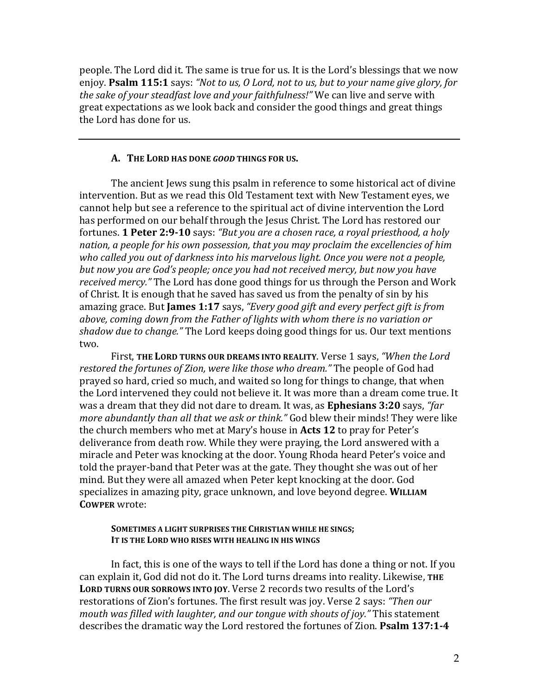people. The Lord did it. The same is true for us. It is the Lord's blessings that we now enjoy. **Psalm 115:1** says: "Not to us, O Lord, not to us, but to your name give glory, for *the sake of your steadfast love and your faithfulness!"* We can live and serve with great expectations as we look back and consider the good things and great things the Lord has done for us.

## A. THE LORD HAS DONE GOOD THINGS FOR US.

The ancient Jews sung this psalm in reference to some historical act of divine intervention. But as we read this Old Testament text with New Testament eyes, we cannot help but see a reference to the spiritual act of divine intervention the Lord has performed on our behalf through the Jesus Christ. The Lord has restored our fortunes. **1 Peter 2:9-10** says: "But you are a chosen race, a royal priesthood, a holy *nation, a people for his own possession, that you may proclaim the excellencies of him* who called you out of darkness into his marvelous light. Once you were not a people, *but now you are God's people; once you had not received mercy, but now you have received mercy.*" The Lord has done good things for us through the Person and Work of Christ. It is enough that he saved has saved us from the penalty of sin by his amazing grace. But **James 1:17** says, "*Every good gift and every perfect gift is from* above, coming down from the Father of lights with whom there is no variation or *shadow due to change.*" The Lord keeps doing good things for us. Our text mentions two.

First, THE LORD TURNS OUR DREAMS INTO REALITY. Verse 1 says, "When the Lord restored the fortunes of Zion, were like those who dream." The people of God had prayed so hard, cried so much, and waited so long for things to change, that when the Lord intervened they could not believe it. It was more than a dream come true. It was a dream that they did not dare to dream. It was, as **Ephesians 3:20** says, "far *more abundantly than all that we ask or think."* God blew their minds! They were like the church members who met at Mary's house in Acts 12 to pray for Peter's deliverance from death row. While they were praying, the Lord answered with a miracle and Peter was knocking at the door. Young Rhoda heard Peter's voice and told the prayer-band that Peter was at the gate. They thought she was out of her mind. But they were all amazed when Peter kept knocking at the door. God specializes in amazing pity, grace unknown, and love beyond degree. WILLIAM **COWPER** wrote: 

### **SOMETIMES A LIGHT SURPRISES THE CHRISTIAN WHILE HE SINGS: IT IS THE LORD WHO RISES WITH HEALING IN HIS WINGS**

In fact, this is one of the ways to tell if the Lord has done a thing or not. If you can explain it, God did not do it. The Lord turns dreams into reality. Likewise, THE LORD TURNS OUR SORROWS INTO JOY. Verse 2 records two results of the Lord's restorations of Zion's fortunes. The first result was joy. Verse 2 says: "Then our *mouth* was filled with laughter, and our tongue with shouts of joy." This statement describes the dramatic way the Lord restored the fortunes of Zion. **Psalm 137:1-4**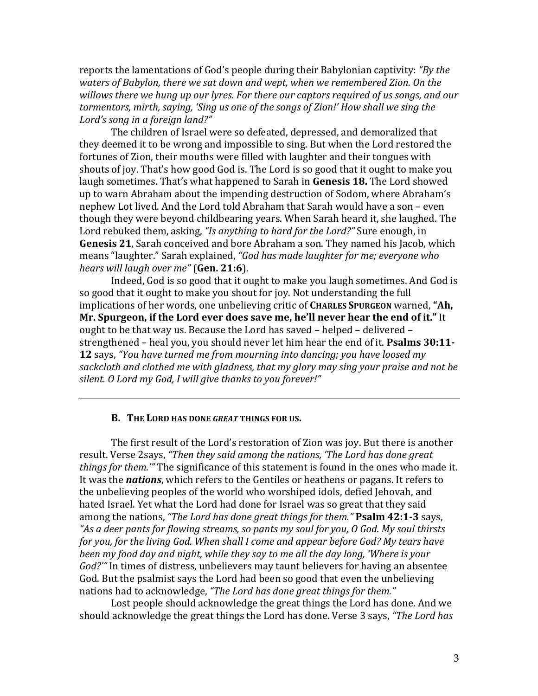reports the lamentations of God's people during their Babylonian captivity: *"By the* waters of Babylon, there we sat down and wept, when we remembered Zion. On the willows there we hung up our lyres. For there our captors required of us songs, and our *tormentors, mirth, saying, 'Sing us one of the songs of Zion!' How shall we sing the Lord's* song in a foreign land?"

The children of Israel were so defeated, depressed, and demoralized that they deemed it to be wrong and impossible to sing. But when the Lord restored the fortunes of Zion, their mouths were filled with laughter and their tongues with shouts of joy. That's how good God is. The Lord is so good that it ought to make you laugh sometimes. That's what happened to Sarah in Genesis 18. The Lord showed up to warn Abraham about the impending destruction of Sodom, where Abraham's nephew Lot lived. And the Lord told Abraham that Sarah would have a son – even though they were beyond childbearing years. When Sarah heard it, she laughed. The Lord rebuked them, asking, "Is anything to hard for the Lord?" Sure enough, in **Genesis 21**, Sarah conceived and bore Abraham a son. They named his Jacob, which means "laughter." Sarah explained, "God has made laughter for me; everyone who *hears* will laugh over me" (Gen. 21:6).

Indeed, God is so good that it ought to make you laugh sometimes. And God is so good that it ought to make you shout for joy. Not understanding the full implications of her words, one unbelieving critic of **CHARLES SPURGEON** warned, "Ah, **Mr. Spurgeon, if the Lord ever does save me, he'll never hear the end of it."** It ought to be that way us. Because the Lord has saved - helped - delivered strengthened - heal you, you should never let him hear the end of it. **Psalms 30:11-12** says, "You have turned me from mourning into dancing; you have loosed my sackcloth and clothed me with gladness, that my glory may sing your praise and not be silent. O Lord my God, I will give thanks to you forever!"

#### **B.** THE LORD HAS DONE GREAT THINGS FOR US.

The first result of the Lord's restoration of Zion was joy. But there is another result. Verse 2says, "Then they said among the nations, 'The Lord has done great *things for them.*" The significance of this statement is found in the ones who made it. It was the *nations*, which refers to the Gentiles or heathens or pagans. It refers to the unbelieving peoples of the world who worshiped idols, defied Jehovah, and hated Israel. Yet what the Lord had done for Israel was so great that they said among the nations, "The Lord has done great things for them." **Psalm 42:1-3** says, "As a deer pants for flowing streams, so pants my soul for you, O God. My soul thirsts *for you, for the living God. When shall I come and appear before God? My tears have been* my food day and night, while they say to me all the day long, 'Where is your *God?*" In times of distress, unbelievers may taunt believers for having an absentee God. But the psalmist says the Lord had been so good that even the unbelieving nations had to acknowledge, "The Lord has done great things for them."

Lost people should acknowledge the great things the Lord has done. And we should acknowledge the great things the Lord has done. Verse 3 says, "The Lord has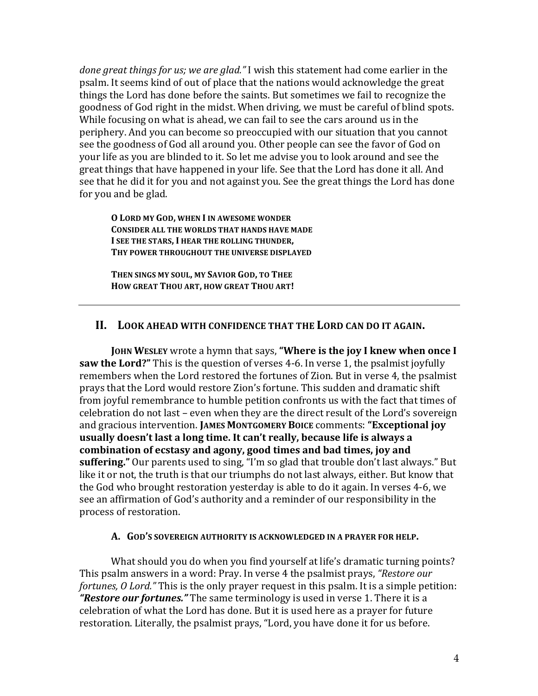*done great things for us; we are glad.*" I wish this statement had come earlier in the psalm. It seems kind of out of place that the nations would acknowledge the great things the Lord has done before the saints. But sometimes we fail to recognize the goodness of God right in the midst. When driving, we must be careful of blind spots. While focusing on what is ahead, we can fail to see the cars around us in the periphery. And you can become so preoccupied with our situation that you cannot see the goodness of God all around you. Other people can see the favor of God on your life as you are blinded to it. So let me advise you to look around and see the great things that have happened in your life. See that the Lord has done it all. And see that he did it for you and not against you. See the great things the Lord has done for you and be glad.

**O LORD MY GOD, WHEN I IN AWESOME WONDER CONSIDER ALL THE WORLDS THAT HANDS HAVE MADE I SEE THE STARS, I HEAR THE ROLLING THUNDER, THY POWER THROUGHOUT THE UNIVERSE DISPLAYED** 

**THEN SINGS MY SOUL, MY SAVIOR GOD, TO THEE HOW GREAT THOU ART, HOW GREAT THOU ART!**

# **II.** LOOK AHEAD WITH CONFIDENCE THAT THE LORD CAN DO IT AGAIN.

**JOHN WESLEY** wrote a hymn that says, "Where is the joy I knew when once I **saw the Lord?"** This is the question of verses 4-6. In verse 1, the psalmist joyfully remembers when the Lord restored the fortunes of Zion. But in verse 4, the psalmist prays that the Lord would restore Zion's fortune. This sudden and dramatic shift from joyful remembrance to humble petition confronts us with the fact that times of celebration do not last – even when they are the direct result of the Lord's sovereign and gracious intervention. JAMES MONTGOMERY BOICE comments: "Exceptional joy usually doesn't last a long time. It can't really, because life is always a combination of ecstasy and agony, good times and bad times, joy and **suffering."** Our parents used to sing, "I'm so glad that trouble don't last always." But like it or not, the truth is that our triumphs do not last always, either. But know that the God who brought restoration yesterday is able to do it again. In verses 4-6, we see an affirmation of God's authority and a reminder of our responsibility in the process of restoration.

## **A. GOD'S SOVEREIGN AUTHORITY IS ACKNOWLEDGED IN A PRAYER FOR HELP.**

What should you do when you find yourself at life's dramatic turning points? This psalm answers in a word: Pray. In verse 4 the psalmist prays, "Restore our *fortunes, O Lord."* This is the only prayer request in this psalm. It is a simple petition: **"Restore our fortunes.**" The same terminology is used in verse 1. There it is a celebration of what the Lord has done. But it is used here as a prayer for future restoration. Literally, the psalmist prays, "Lord, you have done it for us before.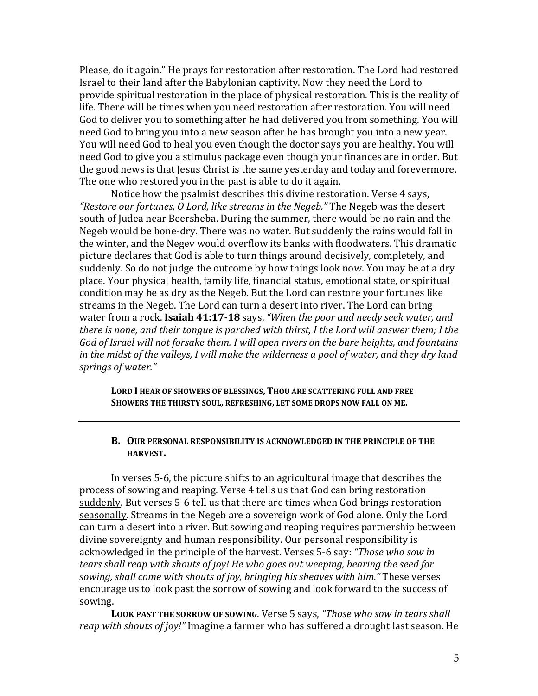Please, do it again." He prays for restoration after restoration. The Lord had restored Israel to their land after the Babylonian captivity. Now they need the Lord to provide spiritual restoration in the place of physical restoration. This is the reality of life. There will be times when you need restoration after restoration. You will need God to deliver you to something after he had delivered you from something. You will need God to bring you into a new season after he has brought you into a new year. You will need God to heal you even though the doctor says you are healthy. You will need God to give you a stimulus package even though your finances are in order. But the good news is that Jesus Christ is the same yesterday and today and forevermore. The one who restored you in the past is able to do it again.

Notice how the psalmist describes this divine restoration. Verse 4 says, "Restore our fortunes, O Lord, like streams in the Negeb." The Negeb was the desert south of Judea near Beersheba. During the summer, there would be no rain and the Negeb would be bone-dry. There was no water. But suddenly the rains would fall in the winter, and the Negev would overflow its banks with floodwaters. This dramatic picture declares that God is able to turn things around decisively, completely, and suddenly. So do not judge the outcome by how things look now. You may be at a dry place. Your physical health, family life, financial status, emotional state, or spiritual condition may be as dry as the Negeb. But the Lord can restore your fortunes like streams in the Negeb. The Lord can turn a desert into river. The Lord can bring water from a rock. **Isaiah 41:17-18** says, "When the poor and needy seek water, and *there is none, and their tongue is parched with thirst, I the Lord will answer them; I the* God of Israel will not forsake them. I will open rivers on the bare heights, and fountains *in the midst of the valleys, I will make the wilderness a pool of water, and they dry land springs of water."*

LORD I HEAR OF SHOWERS OF BLESSINGS, THOU ARE SCATTERING FULL AND FREE SHOWERS THE THIRSTY SOUL, REFRESHING, LET SOME DROPS NOW FALL ON ME.

## **B.** OUR PERSONAL RESPONSIBILITY IS ACKNOWLEDGED IN THE PRINCIPLE OF THE **HARVEST.**

In verses 5-6, the picture shifts to an agricultural image that describes the process of sowing and reaping. Verse 4 tells us that God can bring restoration suddenly. But verses 5-6 tell us that there are times when God brings restoration seasonally. Streams in the Negeb are a sovereign work of God alone. Only the Lord can turn a desert into a river. But sowing and reaping requires partnership between divine sovereignty and human responsibility. Our personal responsibility is acknowledged in the principle of the harvest. Verses 5-6 say: "Those who sow in *tears* shall reap with shouts of joy! He who goes out weeping, bearing the seed for *sowing, shall come with shouts of joy, bringing his sheaves with him."* These verses encourage us to look past the sorrow of sowing and look forward to the success of sowing. 

**LOOK PAST THE SORROW OF SOWING.** Verse 5 says, "Those who sow in tears shall *reap* with shouts of joy!" Imagine a farmer who has suffered a drought last season. He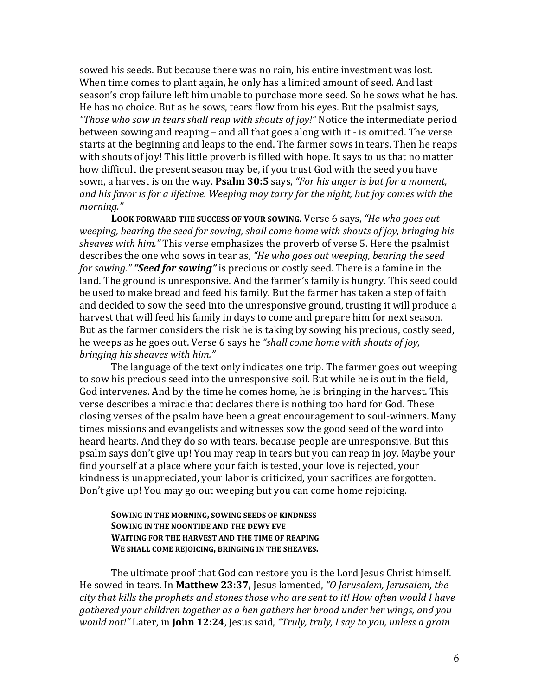sowed his seeds. But because there was no rain, his entire investment was lost. When time comes to plant again, he only has a limited amount of seed. And last season's crop failure left him unable to purchase more seed. So he sows what he has. He has no choice. But as he sows, tears flow from his eyes. But the psalmist says, "Those who sow in tears shall reap with shouts of joy!" Notice the intermediate period between sowing and reaping  $-$  and all that goes along with it  $-$  is omitted. The verse starts at the beginning and leaps to the end. The farmer sows in tears. Then he reaps with shouts of joy! This little proverb is filled with hope. It says to us that no matter how difficult the present season may be, if you trust God with the seed you have sown, a harvest is on the way. **Psalm 30:5** says, "For his anger is but for a moment, and his favor is for a lifetime. Weeping may tarry for the night, but joy comes with the *morning."*

LOOK FORWARD THE SUCCESS OF YOUR SOWING. Verse 6 says, "He who goes out *weeping, bearing the seed for sowing, shall come home with shouts of joy, bringing his sheaves with him."* This verse emphasizes the proverb of verse 5. Here the psalmist describes the one who sows in tear as, "He who goes out weeping, bearing the seed *for sowing."* **"Seed for sowing**" is precious or costly seed. There is a famine in the land. The ground is unresponsive. And the farmer's family is hungry. This seed could be used to make bread and feed his family. But the farmer has taken a step of faith and decided to sow the seed into the unresponsive ground, trusting it will produce a harvest that will feed his family in days to come and prepare him for next season. But as the farmer considers the risk he is taking by sowing his precious, costly seed, he weeps as he goes out. Verse 6 says he "shall come home with shouts of joy, *bringing his sheaves with him."*

The language of the text only indicates one trip. The farmer goes out weeping to sow his precious seed into the unresponsive soil. But while he is out in the field, God intervenes. And by the time he comes home, he is bringing in the harvest. This verse describes a miracle that declares there is nothing too hard for God. These closing verses of the psalm have been a great encouragement to soul-winners. Many times missions and evangelists and witnesses sow the good seed of the word into heard hearts. And they do so with tears, because people are unresponsive. But this psalm says don't give up! You may reap in tears but you can reap in joy. Maybe your find yourself at a place where your faith is tested, your love is rejected, your kindness is unappreciated, your labor is criticized, your sacrifices are forgotten. Don't give up! You may go out weeping but you can come home rejoicing.

**SOWING IN THE MORNING, SOWING SEEDS OF KINDNESS SOWING IN THE NOONTIDE AND THE DEWY EVE WAITING FOR THE HARVEST AND THE TIME OF REAPING** WE SHALL COME REJOICING, BRINGING IN THE SHEAVES.

The ultimate proof that God can restore you is the Lord Jesus Christ himself. He sowed in tears. In Matthew 23:37, Jesus lamented, "O Jerusalem, Jerusalem, the *city* that kills the prophets and stones those who are sent to it! How often would I have *gathered your children together as a hen gathers her brood under her wings, and you would not!"* Later, in John 12:24, Jesus said, "Truly, truly, I say to you, unless a grain